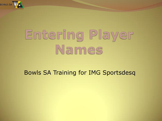

# Entering Player Names

#### Bowls SA Training for IMG Sportsdesq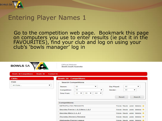

#### Entering Player Names 1

 Go to the competition web page. Bookmark this page on computers you use to enter results (ie put it in the FAVOURITES), find your club and log on using your club's 'bowls manager' log in

| <b>BOWLS SA</b>              | $\overline{\mathcal{L}}$             | Official Website<br>Bowls South Australia |                                       |                    |           |             |     |                                        |  |
|------------------------------|--------------------------------------|-------------------------------------------|---------------------------------------|--------------------|-----------|-------------|-----|----------------------------------------|--|
| <b>Bowls SA Competitions</b> | <b>Bowls SA</b><br><b>Contact Us</b> |                                           |                                       |                    |           |             |     |                                        |  |
| <b>Clubs</b>                 |                                      | <b>Bowls SA - Competitions</b>            |                                       |                    |           |             |     |                                        |  |
| Club                         |                                      | <b>Search Competitions</b>                |                                       |                    |           |             |     |                                        |  |
| All Clubs                    | ▼                                    | Season:                                   | All                                   | ▼                  |           | Day Played: | All | ▼                                      |  |
|                              |                                      | Competition:                              | All                                   |                    | ▼         | Gender:     | All |                                        |  |
|                              |                                      | Time From:                                | 12<br>OO.<br>$\overline{\phantom{a}}$ | AM<br>$\mathbf{v}$ | $\bullet$ |             |     |                                        |  |
|                              |                                      |                                           |                                       |                    |           | Reset       |     | Search                                 |  |
|                              |                                      | <b>Competitions</b>                       |                                       |                    |           |             |     |                                        |  |
|                              |                                      | METROPOLITAN PENNANTS                     |                                       |                    |           |             |     | Fixtures Results Ladder Statistics     |  |
|                              |                                      |                                           | Saturday Premier 1 & 2 Metro 1 & 2    |                    |           |             |     | Flutures Results Ladder Statistics     |  |
|                              |                                      | Saturday Metro 3, 4, & 5                  |                                       |                    |           |             |     | Fixtures Results Ladder Statistics     |  |
|                              |                                      | Thursday Women's Pennants                 |                                       |                    |           |             |     | Flutures Results Ladder Statistics (a) |  |
|                              |                                      | Wednesday Premier League                  |                                       |                    |           |             |     | Fixtures Results Ladder Statistics     |  |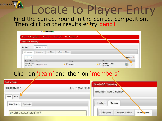Locate to Player Entry Find the correct round in the correct competition. Then click on the results entry pencil

| $\bullet$                      |                            |                                            |                                                        |               |
|--------------------------------|----------------------------|--------------------------------------------|--------------------------------------------------------|---------------|
| <b>Bowls SA Competitions</b>   | <b>Bowls SA</b>            | <b>Club Dashboard</b><br><b>Contact Us</b> |                                                        |               |
| <b>Bowls SA Training</b>       |                            |                                            |                                                        |               |
| Division:                      | Division 1<br>$\mathbf{v}$ |                                            |                                                        |               |
| <b>Fixtures</b>                | Ladder<br><b>Results</b>   | <b>Skip Ladder</b>                         |                                                        |               |
| $\blacksquare$<br>$\mathbf{1}$ |                            |                                            | Export:                                                |               |
| Date / Time                    | Home                       | Away                                       | Venue                                                  |               |
| 11-Oct-2014<br>01:15 PM        | <b>Brighton Red</b>        | Henley<br>食 目                              | <b>Brighton Green</b><br>团<br>kr (B)<br>$(4$ Rinks $)$ | $\mathscr{P}$ |
| 55 Oct 2014                    |                            | <b>STATE OF THE STATE</b>                  | <b>Scale of</b><br>$P$ $P$ $P$ $P$                     |               |

#### Click on 'team' and then on 'members'

| <b>BowlsSA Training</b>                                   |                                                   |                                |
|-----------------------------------------------------------|---------------------------------------------------|--------------------------------|
| <b>Brighton Red V Henley</b>                              |                                                   | Round 1 - 11-Oct-2014 01:15 PM |
| Match<br>Team<br>32 J.H. CO<br><b>Result &amp; Scores</b> | Comments                                          |                                |
|                                                           | Result & Scores Due: Mon 13 October 2014 09:00 AM |                                |

**BOWLS SA** 

| <b>Bowls SA Training</b>     |                   |         |
|------------------------------|-------------------|---------|
| <b>Brighton Red V Henley</b> |                   |         |
| Match                        | Team              |         |
| Players                      | <b>Team Roles</b> | Members |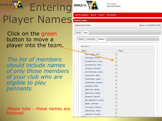#### BOWLS SA **Entering BOWLS SA** Player Names

 Click on the green button to move a player into the team.

 *The list of members should include names of only those members of your club who are eligible to play pennants*

 Please note – these names are fictional!

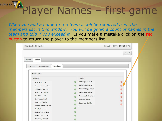# BOWLS SA Player Names - first game

*When you add a name to the team it will be removed from the members list in this window. You will be given a count of names in the team and told if you exceed it.* If you make a mistake click on the red button to return the player to the members list

| <b>Brighton Red V Henley</b>                                                |                                            | Round 1 - 11-Oct-2014 01:15 PM |
|-----------------------------------------------------------------------------|--------------------------------------------|--------------------------------|
|                                                                             |                                            | Logoff                         |
| Match<br>Team<br>Players<br>Members<br><b>Team Roles</b><br>Player Count: 7 |                                            |                                |
| <b>Members</b>                                                              | Players                                    |                                |
| Allenby, Jill                                                               | Alnoip, Sven<br>$\circ$                    | a                              |
| Anderson, Jim                                                               | Andrews, Pat<br>$^{(3)}$<br>Arrinstop, Sam |                                |
| Angus, Dotty<br>Aetchel, Bill                                               | ø<br>Aetchel, Jack<br>O                    |                                |
| Bailes, Gill                                                                | Aetchel, Helen<br>o                        |                                |
| Barnes, Bob                                                                 | Bailes, Gill<br>O                          | G                              |
| Bravis, Noel<br>Bringham, John                                              | Barnes, Sally<br>$^{\circ}$                | G                              |
| Ball, James                                                                 | $^{a}$                                     |                                |
| Crouch, Harry                                                               | ශ                                          |                                |
| Davison, Ken                                                                |                                            |                                |
| Edwin, Frank                                                                |                                            |                                |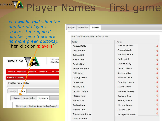# BOWLS SA Player Names – first game

P

*You will be told when the number of players reaches the required number (and there are no more green buttons).*  Then click on 'players'



| layers         | <b>Team Roles</b> | <b>Members</b>                                     |                  |   |
|----------------|-------------------|----------------------------------------------------|------------------|---|
|                |                   | Player Count: 16 (Maximum Number Has Been Reached) |                  |   |
| <b>Members</b> |                   |                                                    | Players          |   |
|                | Angus, Dotty      |                                                    | Arrinstop, Sam   |   |
|                | Aetchel, Bill     |                                                    | Aetchel, Jack    |   |
|                | Bailes, Gill      |                                                    | Aetchel, Helen   |   |
|                | Barnes, Bob       |                                                    | Bailes, Gill     |   |
|                | Bravis, Noel      |                                                    | Barnes, Sally    |   |
|                | Bringham, John    |                                                    | Crouch, Harry    | 0 |
|                | Ball, James       |                                                    | Davison, Ken     |   |
|                | Gering, Steve     |                                                    | Edwards, Tom     |   |
|                | Harris, Bob       |                                                    | Freeling, Howie  |   |
|                | Kelvin, Kim       |                                                    | Harris Jenny     |   |
|                | Lachlin, Angus    |                                                    | Holmes, Shirley  |   |
|                | Mason, Pam        |                                                    | Jackson, Rob     |   |
|                | Noble, Kel        |                                                    | Kelvin, Karen    |   |
|                | Taylor, Sam       |                                                    | Mason, Frank     |   |
|                | Thomas, Bill      |                                                    | Peters, Win      |   |
|                | Thompson, Jenny   |                                                    | Stringer, Howard |   |
|                | Wills, Graeme     |                                                    |                  |   |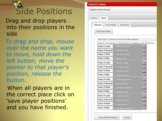

### Side Positions

 Drag and drop players into their positions in the side

 *To drag and drop, mouse over the name you want to move, hold down the left button, move the pointer to that player's position, release the button.* 

When all players are in the correct place click on 'save player positions' and you have finished.

| <b>Irighton Red V Henley</b>        |                                                             |                                         |  |  |  |
|-------------------------------------|-------------------------------------------------------------|-----------------------------------------|--|--|--|
| Match<br>Team                       |                                                             |                                         |  |  |  |
|                                     |                                                             |                                         |  |  |  |
| <b>Players</b><br><b>Team Roles</b> | <b>Members</b>                                              |                                         |  |  |  |
| <b>Print Team Sheet</b>             |                                                             |                                         |  |  |  |
|                                     |                                                             |                                         |  |  |  |
|                                     | Player Count: 16 (Maximum Number Has Been Reached)          |                                         |  |  |  |
|                                     | Position the players in the teams by dragging and dropping. |                                         |  |  |  |
| <b>Team 1 Lead</b>                  | Arrinstop, Sam                                              |                                         |  |  |  |
| <b>Team 1 Second</b>                | Aetchel, Jack                                               |                                         |  |  |  |
| <b>Team 1 Third</b>                 | Aetchel, Helen                                              |                                         |  |  |  |
| Team 1 Skip                         | Bailes, Gill                                                |                                         |  |  |  |
| <b>Team 2 Lead</b>                  | Barnes, Sally                                               |                                         |  |  |  |
| <b>Team 2 Second</b>                | Crouch, Harry                                               |                                         |  |  |  |
| <b>Team 2 Third</b>                 | Davison, Ken                                                | $\circ$ $\circ$ $\circ$ $\circ$ $\circ$ |  |  |  |
| Team 2 Skip                         | Edwards, Tom                                                |                                         |  |  |  |
| <b>Team 3 Lead</b>                  | Freeling, Howie                                             |                                         |  |  |  |
| <b>Team 3 Second</b>                | Harris Jenny                                                |                                         |  |  |  |
| <b>Team 3 Third</b>                 | Holmes, Shirley                                             |                                         |  |  |  |
| Team 3 Skip                         | Jackson, Rob                                                |                                         |  |  |  |
| Team 4 Lead                         | Kelvin, Karen                                               |                                         |  |  |  |
| <b>Team 4 Second</b>                | Mason, Frank                                                |                                         |  |  |  |
| <b>Team 4 Third</b>                 | Peters, Win                                                 |                                         |  |  |  |
| Team 4 Skip                         | Stringer, Howard                                            |                                         |  |  |  |

Cancel

**Save Player Positions** 

E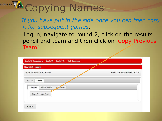# BOWLS SA Copying Names

#### *If you have put in the side once you can then copy it for subsequent games*.

 Log in, navigate to round 2, click on the results pencil and team and then click on 'Copy Previous Team'

| <b>Brighton White V Somerton</b>               | Round 2 - 18-Oct-2014 01:15 PM |
|------------------------------------------------|--------------------------------|
| Match<br>Team                                  |                                |
|                                                |                                |
| <b>Players</b><br><b>Team Roles</b><br>M.mbers |                                |
| Copy Previous Team                             |                                |
|                                                |                                |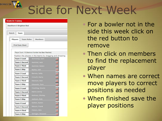# Side for Next Week

| <b>Bowls SA Training</b> | Hawthorn V Brighton Red |                                                                                                                                    |
|--------------------------|-------------------------|------------------------------------------------------------------------------------------------------------------------------------|
| Match                    | Team                    |                                                                                                                                    |
| Players                  |                         | <b>Members</b><br><b>Team Roles</b>                                                                                                |
|                          | <b>Print Team Sheet</b> |                                                                                                                                    |
|                          | <b>Team 1 Lead</b>      | Player Count: 16 (Maximum Number Has Been Reached)<br>Position the players in the teams by dragging and dropping<br>Arrinstop, Sam |
|                          | <b>Team 1 Second</b>    | Aetchel, Jack                                                                                                                      |
|                          | <b>Team 1 Third</b>     | Aetchel, Helen                                                                                                                     |
|                          | Team 1 Skip             | Bailes, Gill                                                                                                                       |
|                          | <b>Team 2 Lead</b>      | Barnes, Sally                                                                                                                      |
|                          | <b>Team 2 Second</b>    | Crouch, Harry                                                                                                                      |
|                          | <b>Team 2 Third</b>     | Davison, Ken                                                                                                                       |
|                          | Team 2 Skip             | Edwards, Tom                                                                                                                       |
|                          | <b>Team 3 Lead</b>      | Freeling, Howie                                                                                                                    |
|                          | <b>Team 3 Second</b>    | Harris Jenny                                                                                                                       |
|                          | <b>Team 3 Third</b>     | Holmes, Shirley                                                                                                                    |
|                          | Team 3 Skip             | Jackson, Rob                                                                                                                       |
|                          | <b>Team 4 Lead</b>      | Kelvin, Karen                                                                                                                      |
|                          | <b>Team 4 Second</b>    | Mason, Frank                                                                                                                       |
|                          | <b>Team 4 Third</b>     | Peters, Win                                                                                                                        |
|                          | Team 4 Skip             | Stringer, Howard                                                                                                                   |

**BOWLS SA** 

- For a bowler not in the side this week click on the red button to remove
- Then click on members to find the replacement player
- When names are correct move players to correct positions as needed
- When finished save the player positions